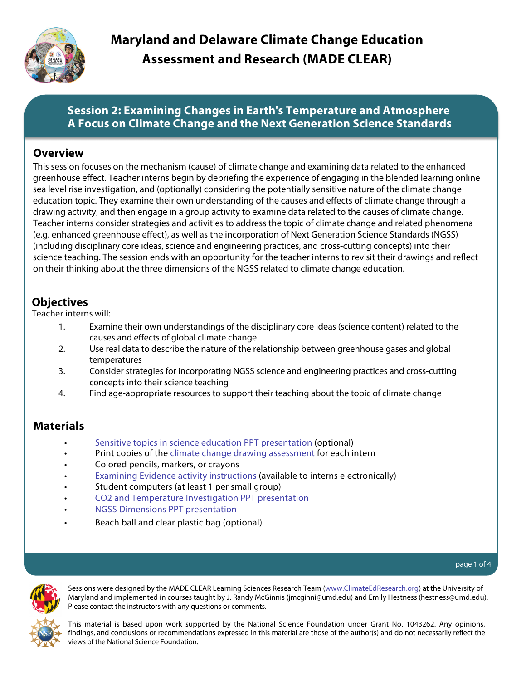

# **Session 2: Examining Changes in Earth's Temperature and Atmosphere A Focus on Climate Change and the Next Generation Science Standards**

### **Overview**

This session focuses on the mechanism (cause) of climate change and examining data related to the enhanced greenhouse effect. Teacher interns begin by debriefing the experience of engaging in the blended learning online sea level rise investigation, and (optionally) considering the potentially sensitive nature of the climate change education topic. They examine their own understanding of the causes and effects of climate change through a drawing activity, and then engage in a group activity to examine data related to the causes of climate change. Teacher interns consider strategies and activities to address the topic of climate change and related phenomena (e.g. enhanced greenhouse effect), as well as the incorporation of Next Generation Science Standards (NGSS) (including disciplinary core ideas, science and engineering practices, and cross-cutting concepts) into their science teaching. The session ends with an opportunity for the teacher interns to revisit their drawings and reflect on their thinking about the three dimensions of the NGSS related to climate change education.

# **Objectives**

Teacher interns will:

- 1. Examine their own understandings of the disciplinary core ideas (science content) related to the causes and effects of global climate change
- 2. Use real data to describe the nature of the relationship between greenhouse gases and global temperatures
- 3. Consider strategies for incorporating NGSS science and engineering practices and cross-cutting concepts into their science teaching
- 4. Find age-appropriate resources to support their teaching about the topic of climate change

# **Materials**

- [Sensitive topics in science education PPT presentation](www.climateedresearch.org/science-methods/sensitive-topics.ppt) (optional)
- Print copies of the [climate change drawing assessment](www.climateedresearch.org/science-methods/climate-change-drawing-assessment.doc) for each intern
- Colored pencils, markers, or crayons
- [Examining Evidence activity instructions](www.climateedresearch.org/science-methods/session-2/examining-evidence.doc) (available to interns electronically)
- Student computers (at least 1 per small group)
- [CO2 and Temperature Investigation PPT presentation](www.climateedresearch.org/science-methods/session-2/CO2-temp-investigation.ppt)
- [NGSS Dimensions PPT presentation](www.climateedresearch.org/science-methods/session-2/NGSS-dimensions.ppt)
- Beach ball and clear plastic bag (optional)

#### page 1 of 4



Sessions were designed by the MADE CLEAR Learning Sciences Research Team ([www.ClimateEdResearch.org\)](www.climateedresearch.org) at the University of Maryland and implemented in courses taught by J. Randy McGinnis (jmcginni@umd.edu) and Emily Hestness (hestness@umd.edu). Please contact the instructors with any questions or comments.

This material is based upon work supported by the National Science Foundation under Grant No. 1043262. Any opinions, findings, and conclusions or recommendations expressed in this material are those of the author(s) and do not necessarily reflect the views of the National Science Foundation.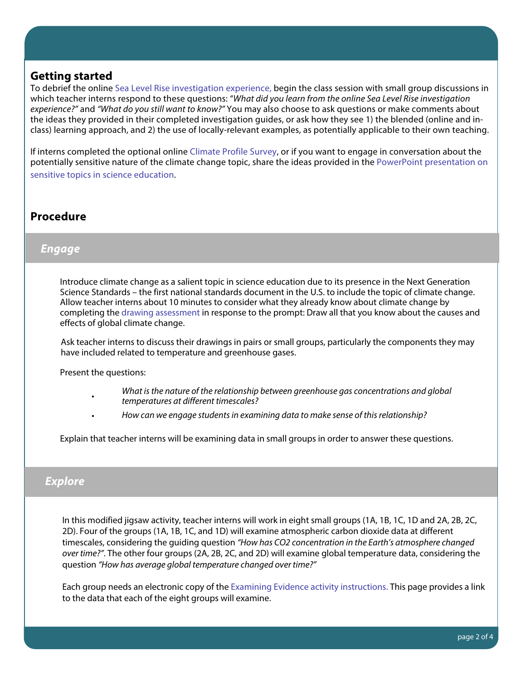### **Getting started**

To debrief the online [Sea Level Rise investigation experience,](http://www.climateedresearch.org/science-methods/sea-level-rise/) begin the class session with small group discussions in which teacher interns respond to these questions: "What did you learn from the online Sea Level Rise investigation experience?" and "What do you still want to know?" You may also choose to ask questions or make comments about the ideas they provided in their completed investigation guides, or ask how they see 1) the blended (online and inclass) learning approach, and 2) the use of locally-relevant examples, as potentially applicable to their own teaching.

If interns completed the optional online [Climate Profile Survey](http://uw.kqed.org/climatesurvey/index-kqed.php), or if you want to engage in conversation about the potentially sensitive nature of the climate change topic, share the ideas provided in the [PowerPoint presentation on](www.climateedresearch.org/science-methods/sensitive-topics.ppt) [sensitive topics in science education.](www.climateedresearch.org/science-methods/sensitive-topics.ppt)

# **Procedure**

#### **Engage**

Introduce climate change as a salient topic in science education due to its presence in the Next Generation Science Standards – the first national standards document in the U.S. to include the topic of climate change. Allow teacher interns about 10 minutes to consider what they already know about climate change by completing the [drawing assessment](www.climateedresearch.org/science-methods/climate-change-drawing-assessment.doc) in response to the prompt: Draw all that you know about the causes and effects of global climate change.

Ask teacher interns to discuss their drawings in pairs or small groups, particularly the components they may have included related to temperature and greenhouse gases.

Present the questions:

•

- What is the nature of the relationship between greenhouse gas concentrations and global temperatures at different timescales?
- How can we engage students in examining data to make sense of this relationship?

Explain that teacher interns will be examining data in small groups in order to answer these questions.

## **Explore**

In this modified jigsaw activity, teacher interns will work in eight small groups (1A, 1B, 1C, 1D and 2A, 2B, 2C, 2D). Four of the groups (1A, 1B, 1C, and 1D) will examine atmospheric carbon dioxide data at different timescales, considering the guiding question "How has CO2 concentration in the Earth's atmosphere changed over time?". The other four groups (2A, 2B, 2C, and 2D) will examine global temperature data, considering the question "How has average global temperature changed over time?"

Each group needs an electronic copy of the [Examining Evidence activity instructions.](www.climateedresearch.org/science-methods/session-2/examining-evidence.doc) This page provides a link to the data that each of the eight groups will examine.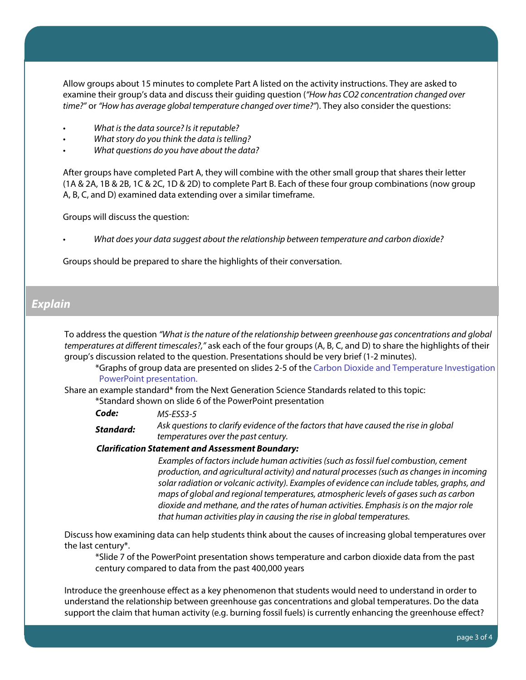Allow groups about 15 minutes to complete Part A listed on the activity instructions. They are asked to examine their group's data and discuss their guiding question ("How has CO2 concentration changed over time?" or "How has average global temperature changed over time?"). They also consider the questions:

- What is the data source? Is it reputable?
- What story do you think the data is telling?
- What questions do you have about the data?

After groups have completed Part A, they will combine with the other small group that shares their letter (1A & 2A, 1B & 2B, 1C & 2C, 1D & 2D) to complete Part B. Each of these four group combinations (now group A, B, C, and D) examined data extending over a similar timeframe.

Groups will discuss the question:

• What does your data suggest about the relationship between temperature and carbon dioxide?

Groups should be prepared to share the highlights of their conversation.

## **Explain**

To address the question "What is the nature of the relationship between greenhouse gas concentrations and global temperatures at different timescales?," ask each of the four groups (A, B, C, and D) to share the highlights of their group's discussion related to the question. Presentations should be very brief (1-2 minutes).

\*Graphs of group data are presented on slides 2-5 of the [Carbon Dioxide and Temperature Investigation](www.climateedresearch.org/science-methods/session-2/CO2-temp-investigation.ppt) [PowerPoint presentation.](www.climateedresearch.org/science-methods/session-2/CO2-temp-investigation.ppt)

Share an example standard\* from the Next Generation Science Standards related to this topic:

\*Standard shown on slide 6 of the PowerPoint presentation

**Code:**  MS-ESS3-5

**Standard:**  Ask questions to clarify evidence of the factors that have caused the rise in global temperatures over the past century.

**Clarification Statement and Assessment Boundary:** 

Examples of factors include human activities (such as fossil fuel combustion, cement production, and agricultural activity) and natural processes (such as changes in incoming solar radiation or volcanic activity). Examples of evidence can include tables, graphs, and maps of global and regional temperatures, atmospheric levels of gases such as carbon dioxide and methane, and the rates of human activities. Emphasis is on the major role that human activities play in causing the rise in global temperatures.

Discuss how examining data can help students think about the causes of increasing global temperatures over the last century\*.

\*Slide 7 of the PowerPoint presentation shows temperature and carbon dioxide data from the past century compared to data from the past 400,000 years

Introduce the greenhouse effect as a key phenomenon that students would need to understand in order to understand the relationship between greenhouse gas concentrations and global temperatures. Do the data support the claim that human activity (e.g. burning fossil fuels) is currently enhancing the greenhouse effect?